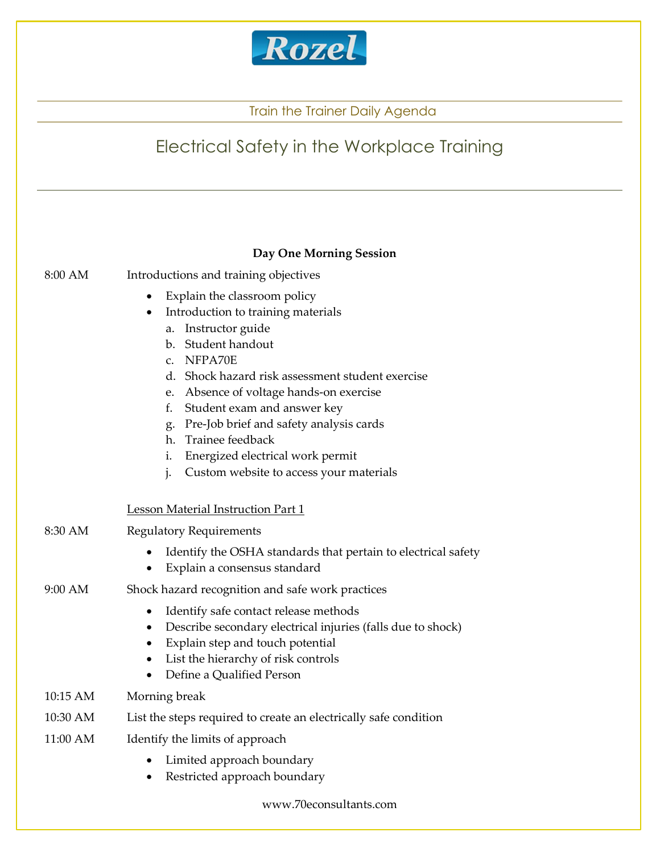

## Electrical Safety in the Workplace Training

|          | Day One Morning Session                                                                                                                                                                                                                                                                                                                                                                                                              |
|----------|--------------------------------------------------------------------------------------------------------------------------------------------------------------------------------------------------------------------------------------------------------------------------------------------------------------------------------------------------------------------------------------------------------------------------------------|
| 8:00 AM  | Introductions and training objectives                                                                                                                                                                                                                                                                                                                                                                                                |
|          | Explain the classroom policy<br>Introduction to training materials<br>Instructor guide<br>a.<br>b. Student handout<br>c. NFPA70E<br>d. Shock hazard risk assessment student exercise<br>e. Absence of voltage hands-on exercise<br>f.<br>Student exam and answer key<br>g. Pre-Job brief and safety analysis cards<br>h. Trainee feedback<br>Energized electrical work permit<br>i.<br>Custom website to access your materials<br>j. |
|          | Lesson Material Instruction Part 1                                                                                                                                                                                                                                                                                                                                                                                                   |
| 8:30 AM  | <b>Regulatory Requirements</b>                                                                                                                                                                                                                                                                                                                                                                                                       |
|          | Identify the OSHA standards that pertain to electrical safety<br>Explain a consensus standard                                                                                                                                                                                                                                                                                                                                        |
| 9:00 AM  | Shock hazard recognition and safe work practices                                                                                                                                                                                                                                                                                                                                                                                     |
|          | Identify safe contact release methods<br>Describe secondary electrical injuries (falls due to shock)<br>Explain step and touch potential<br>List the hierarchy of risk controls<br>Define a Qualified Person                                                                                                                                                                                                                         |
| 10:15 AM | Morning break                                                                                                                                                                                                                                                                                                                                                                                                                        |
| 10:30 AM | List the steps required to create an electrically safe condition                                                                                                                                                                                                                                                                                                                                                                     |
| 11:00 AM | Identify the limits of approach<br>Limited approach boundary<br>Restricted approach boundary                                                                                                                                                                                                                                                                                                                                         |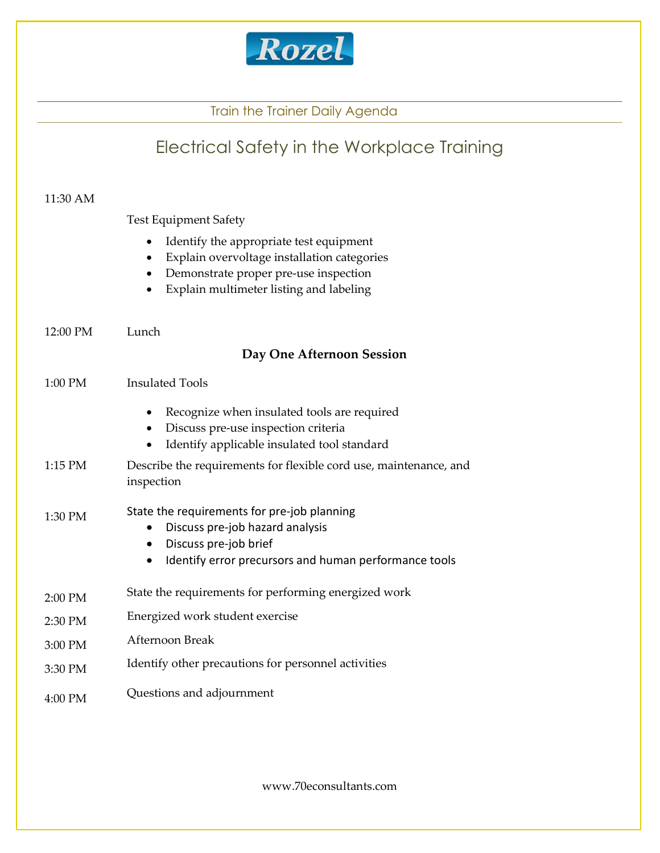

## Electrical Safety in the Workplace Training 11:30 AM Test Equipment Safety Identify the appropriate test equipment Explain overvoltage installation categories • Demonstrate proper pre-use inspection Explain multimeter listing and labeling 12:00 PM Lunch Day One Afternoon Session 1:00 PM Insulated Tools • Recognize when insulated tools are required Discuss pre-use inspection criteria Identify applicable insulated tool standard 1:15 PM Describe the requirements for flexible cord use, maintenance, and inspection  $1:30 \text{ PM}$  State the requirements for pre-job planning Discuss pre-job hazard analysis Discuss pre-job brief • Identify error precursors and human performance tools 2:00 PM State the requirements for performing energized work 2:30 PM Energized work student exercise 3:00 PM Afternoon Break 3:30 PM Identify other precautions for personnel activities 4:00 PM Questions and adjournment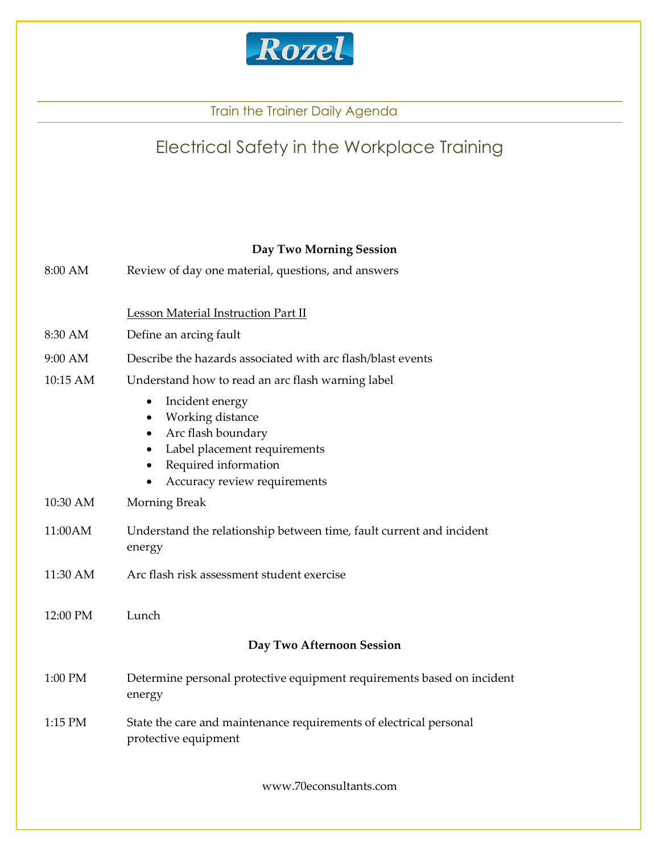

## Electrical Safety in the Workplace Training

#### Day Two Morning Session

| 8:00 AM  | Review of day one material, questions, and answers                                                                                                                                                                              |
|----------|---------------------------------------------------------------------------------------------------------------------------------------------------------------------------------------------------------------------------------|
|          | <b>Lesson Material Instruction Part II</b>                                                                                                                                                                                      |
| 8:30 AM  | Define an arcing fault                                                                                                                                                                                                          |
| 9:00 AM  | Describe the hazards associated with arc flash/blast events                                                                                                                                                                     |
| 10:15 AM | Understand how to read an arc flash warning label                                                                                                                                                                               |
|          | Incident energy<br>$\bullet$<br>Working distance<br>$\bullet$<br>Arc flash boundary<br>$\bullet$<br>Label placement requirements<br>$\bullet$<br>Required information<br>$\bullet$<br>Accuracy review requirements<br>$\bullet$ |
| 10:30 AM | <b>Morning Break</b>                                                                                                                                                                                                            |
| 11:00AM  | Understand the relationship between time, fault current and incident<br>energy                                                                                                                                                  |
| 11:30 AM | Arc flash risk assessment student exercise                                                                                                                                                                                      |
| 12:00 PM | Lunch                                                                                                                                                                                                                           |
|          | Day Two Afternoon Session                                                                                                                                                                                                       |
| 1:00 PM  | Determine personal protective equipment requirements based on incident<br>energy                                                                                                                                                |
| 1:15 PM  | State the care and maintenance requirements of electrical personal<br>protective equipment                                                                                                                                      |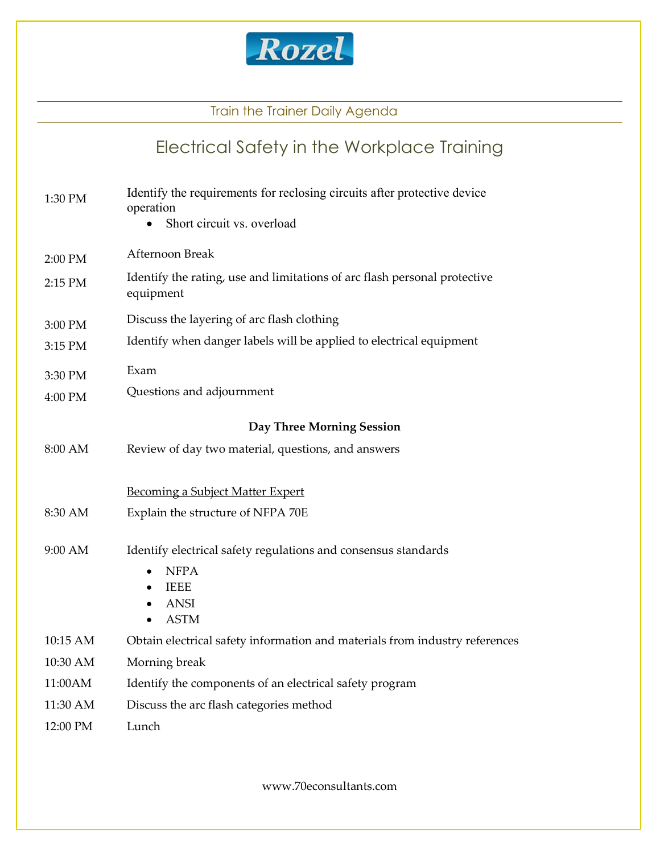

# Electrical Safety in the Workplace Training

| 1:30 PM  | Identify the requirements for reclosing circuits after protective device<br>operation<br>Short circuit vs. overload |
|----------|---------------------------------------------------------------------------------------------------------------------|
| 2:00 PM  | Afternoon Break                                                                                                     |
| 2:15 PM  | Identify the rating, use and limitations of arc flash personal protective<br>equipment                              |
| 3:00 PM  | Discuss the layering of arc flash clothing                                                                          |
| 3:15 PM  | Identify when danger labels will be applied to electrical equipment                                                 |
| 3:30 PM  | Exam                                                                                                                |
| 4:00 PM  | Questions and adjournment                                                                                           |
|          | <b>Day Three Morning Session</b>                                                                                    |
| 8:00 AM  | Review of day two material, questions, and answers                                                                  |
|          | <b>Becoming a Subject Matter Expert</b>                                                                             |
| 8:30 AM  | Explain the structure of NFPA 70E                                                                                   |
| 9:00 AM  | Identify electrical safety regulations and consensus standards                                                      |
|          | <b>NFPA</b>                                                                                                         |
|          | <b>IEEE</b><br><b>ANSI</b>                                                                                          |
|          | <b>ASTM</b>                                                                                                         |
| 10:15 AM | Obtain electrical safety information and materials from industry references                                         |
| 10:30 AM | Morning break                                                                                                       |
| 11:00AM  | Identify the components of an electrical safety program                                                             |
| 11:30 AM | Discuss the arc flash categories method                                                                             |
| 12:00 PM | Lunch                                                                                                               |